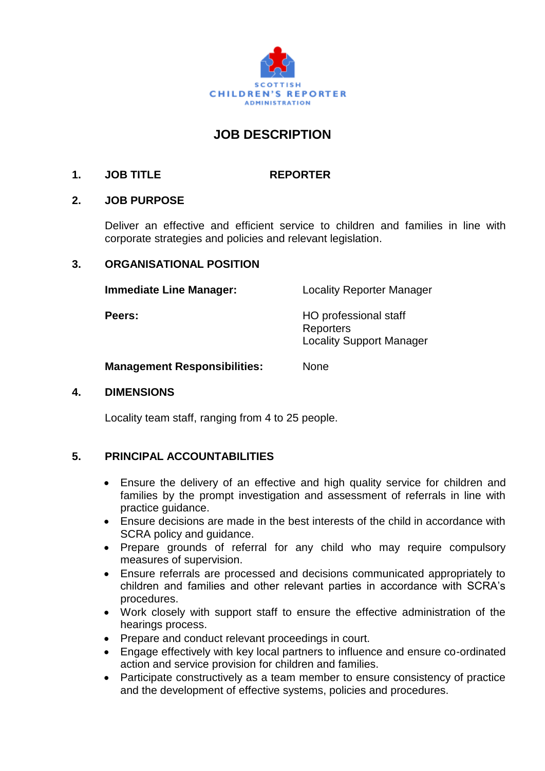

# **JOB DESCRIPTION**

## **1. JOB TITLE REPORTER**

#### **2. JOB PURPOSE**

Deliver an effective and efficient service to children and families in line with corporate strategies and policies and relevant legislation.

#### **3. ORGANISATIONAL POSITION**

**Immediate Line Manager:** Locality Reporter Manager

**Peers:** HO professional staff **Reporters** Locality Support Manager

**Management Responsibilities:** None

#### **4. DIMENSIONS**

Locality team staff, ranging from 4 to 25 people.

### **5. PRINCIPAL ACCOUNTABILITIES**

- Ensure the delivery of an effective and high quality service for children and families by the prompt investigation and assessment of referrals in line with practice guidance.
- Ensure decisions are made in the best interests of the child in accordance with SCRA policy and guidance.
- Prepare grounds of referral for any child who may require compulsory measures of supervision.
- Ensure referrals are processed and decisions communicated appropriately to children and families and other relevant parties in accordance with SCRA's procedures.
- Work closely with support staff to ensure the effective administration of the hearings process.
- Prepare and conduct relevant proceedings in court.
- Engage effectively with key local partners to influence and ensure co-ordinated action and service provision for children and families.
- Participate constructively as a team member to ensure consistency of practice and the development of effective systems, policies and procedures.